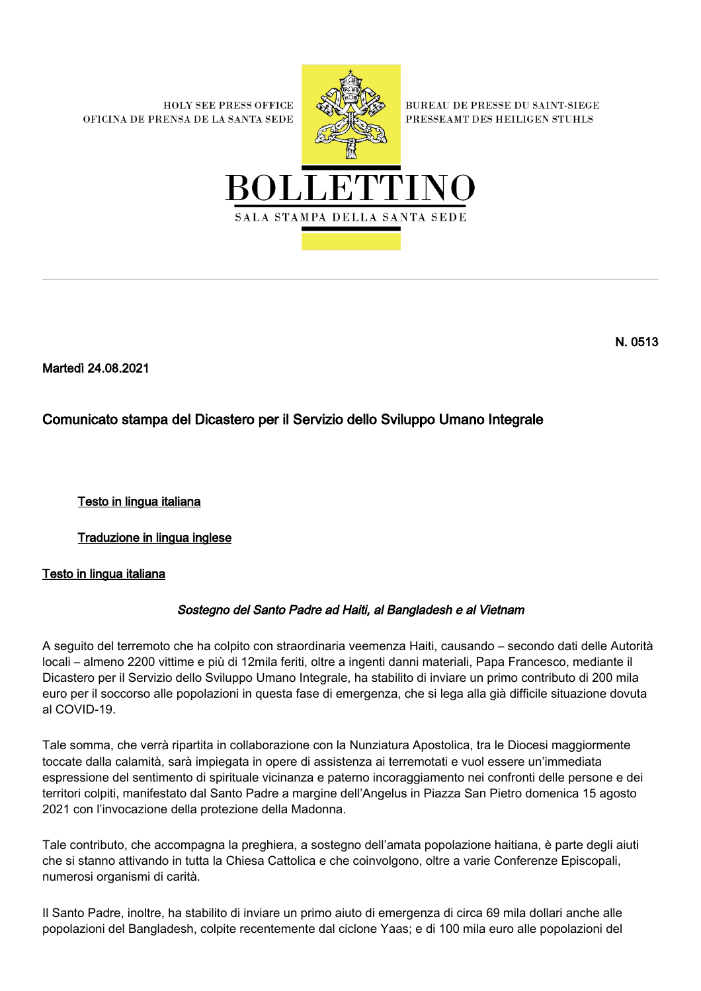**HOLY SEE PRESS OFFICE** OFICINA DE PRENSA DE LA SANTA SEDE



**BUREAU DE PRESSE DU SAINT-SIEGE** PRESSEAMT DES HEILIGEN STUHLS



Martedì 24.08.2021

# Comunicato stampa del Dicastero per il Servizio dello Sviluppo Umano Integrale

Testo in lingua italiana

Traduzione in lingua inglese

## Testo in lingua italiana

## Sostegno del Santo Padre ad Haiti, al Bangladesh e al Vietnam

A seguito del terremoto che ha colpito con straordinaria veemenza Haiti, causando – secondo dati delle Autorità locali – almeno 2200 vittime e più di 12mila feriti, oltre a ingenti danni materiali, Papa Francesco, mediante il Dicastero per il Servizio dello Sviluppo Umano Integrale, ha stabilito di inviare un primo contributo di 200 mila euro per il soccorso alle popolazioni in questa fase di emergenza, che si lega alla già difficile situazione dovuta al COVID-19.

Tale somma, che verrà ripartita in collaborazione con la Nunziatura Apostolica, tra le Diocesi maggiormente toccate dalla calamità, sarà impiegata in opere di assistenza ai terremotati e vuol essere un'immediata espressione del sentimento di spirituale vicinanza e paterno incoraggiamento nei confronti delle persone e dei territori colpiti, manifestato dal Santo Padre a margine dell'Angelus in Piazza San Pietro domenica 15 agosto 2021 con l'invocazione della protezione della Madonna.

Tale contributo, che accompagna la preghiera, a sostegno dell'amata popolazione haitiana, è parte degli aiuti che si stanno attivando in tutta la Chiesa Cattolica e che coinvolgono, oltre a varie Conferenze Episcopali, numerosi organismi di carità.

Il Santo Padre, inoltre, ha stabilito di inviare un primo aiuto di emergenza di circa 69 mila dollari anche alle popolazioni del Bangladesh, colpite recentemente dal ciclone Yaas; e di 100 mila euro alle popolazioni del

N. 0513